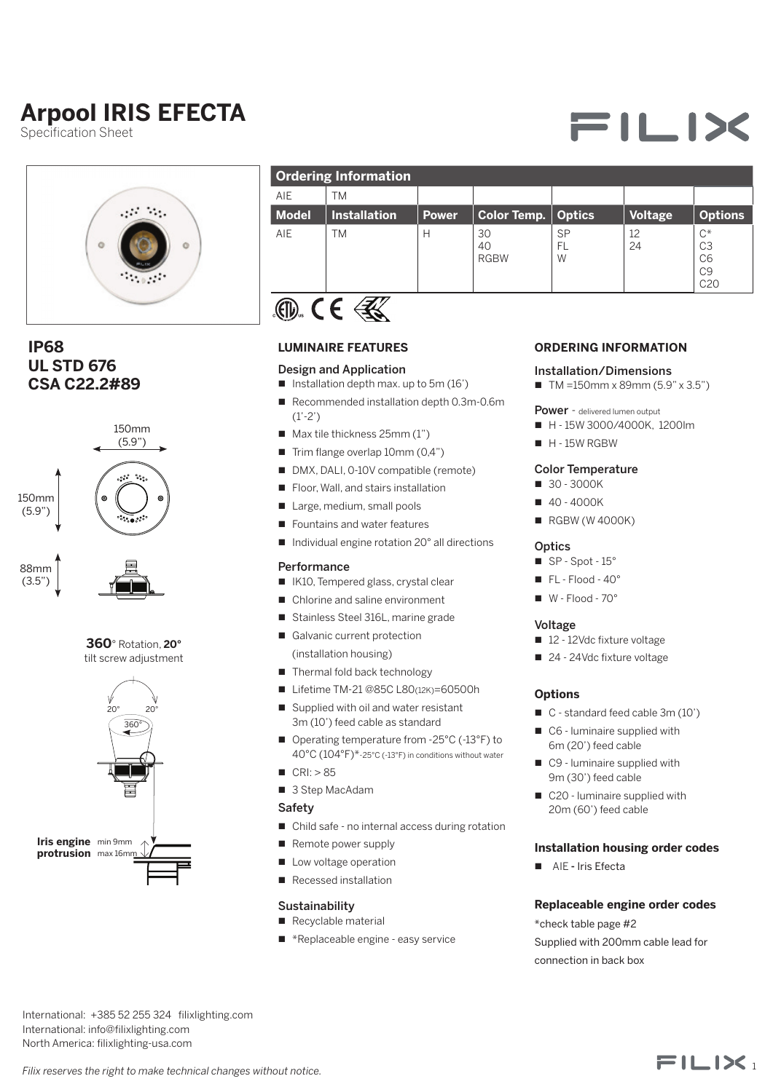# **Arpool IRIS EFECTA**

Specification Sheet



### 6 5 **UL STD 676 IP68 CSA C22.2#89**





tilt screw adjustment



| AIE<br>ТM<br><b>Model</b><br><b>Installation</b><br>Color Temp.<br><b>Optics</b><br><b>Power</b> | <b>Voltage</b> |                                                                    |
|--------------------------------------------------------------------------------------------------|----------------|--------------------------------------------------------------------|
|                                                                                                  |                |                                                                    |
|                                                                                                  |                | <b>Options</b>                                                     |
| AIE<br>30<br><b>SP</b><br>ΤM<br>Н<br>40<br>FL<br><b>RGBW</b><br>W                                | 12<br>24       | $C^*$<br>C <sub>3</sub><br>C <sub>6</sub><br>C9<br>C <sub>20</sub> |



#### **LUMINAIRE FEATURES**

#### Design and Application

- $\blacksquare$  Installation depth max. up to 5m (16')
- $(1' \t2')$ ■ Recommended installation depth 0.3m-0.6m (1'-2')
	- $\blacksquare$  Max tile thickness 25mm (1")
	- $\blacksquare$  Trim flange overlap 10mm (0,4")
	- DMX, DALI, 0-10V compatible (remote)
	-
	- Large, medium, small pools
	- Fountains and water features
	- Individual engine rotation 20° all directions

#### **Performance**

- IK10, Tempered glass, crystal clear
- Chlorine and saline environment
- Stainless Steel 316L, marine grade MILLIMETERS
	- (installation housing) ■ Galvanic current protection SCALE SHEET SHEET SHEET SHEET SHEET SHEET AFTER SHEET AFTER SHEET AFTER SHEET AFTER SHEET AFTER SHEET AFTER SHEET AFTER SHEET AFTER SHEET AFTER SHEET AFTER SHEET AFTER SHEET AFTER SHEET AFTER SHEET AFTER SHEET AFTER SHEET BREAK SHARP EDGES 0.3 ± 0.1 x 45°
		- Thermal fold back technology
		- Thermal iold back technology<br>■ Lifetime TM-21 @85C L80(12K)=60500h
		- Lileume TM-21 @650 L60(12K)=6050<br>■ Supplied with oil and water resistant 3m (10') feed cable as standard n on and water resistant in the standard feed cable 3m (10')<br>dicable as standard
		- Operating temperature from -25°C (-13°F) to 40°C (104°F)\*-25°C (-13°F) in conditions without water
		- $CRI: > 85$
		- 3 Step MacAdam

#### Safety

- Child safe no internal access during rotation
- Remote power supply
- **n** Low voltage operation
- Recessed installation

#### **Sustainability**

- Recyclable material
- $\blacksquare$  \*Replaceable engine easy service

#### **ORDERING INFORMATION**

#### Installation/Dimensions

 $\blacksquare$  TM =150mm x 89mm (5.9" x 3.5")

Power - delivered lumen output

- H 15W 3000/4000K, 1200lm
- $H 15W$  RGBW

#### Color Temperature

- 30 3000K
- $40 4000K$
- $RGBW(W 4000K)$

#### **Optics**

- $\overline{\phantom{a}}$  SP Spot 15°
- $\blacksquare$  FL Flood 40°
- $W Flood 70°$  $\blacksquare$  W - Flood - 70°<br>21.04 anosing ang da

#### Voltage

- 12 12Vdc fixture voltage
- 24 24Vdc fixture voltage

## **Options**

- 
- $\Box$  C6 luminaire supplied with 6m (20') feed cable
- ter<br>
C9 luminaire supplied with 9m (30') feed cable
	- C20 luminaire supplied with 20m (60') feed cable

#### **Installation housing order codes**

■ AIE - Iris Efecta

#### **Replaceable engine order codes** Sustainability Replaceable engine order codes<br>■ Recyclable material \*aboak table nome #2

\*check table page #2 Supplied with 200mm cable lead for connection in back box

 $FILIX$ 

International: +385 52 255 324 filixlighting.com International: info@filixlighting.com North America: filixlighting-usa.com h<br>D